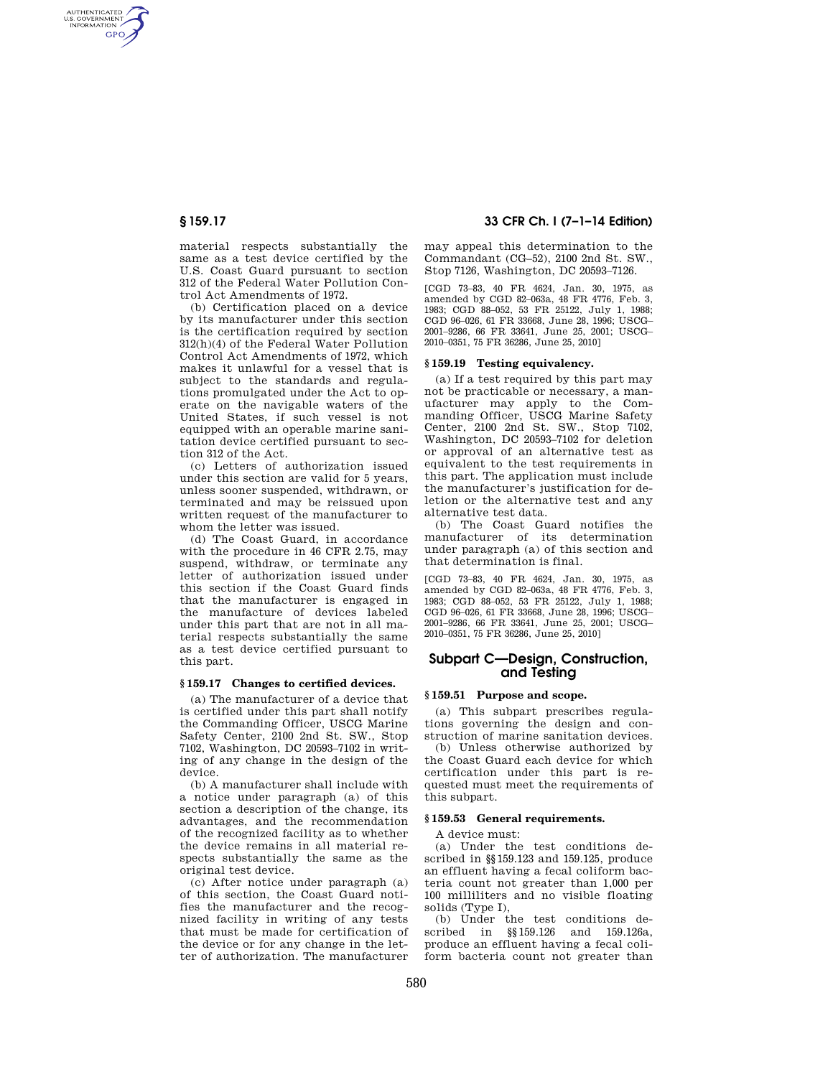AUTHENTICATED<br>U.S. GOVERNMENT<br>INFORMATION **GPO** 

> material respects substantially the same as a test device certified by the U.S. Coast Guard pursuant to section 312 of the Federal Water Pollution Control Act Amendments of 1972.

> (b) Certification placed on a device by its manufacturer under this section is the certification required by section 312(h)(4) of the Federal Water Pollution Control Act Amendments of 1972, which makes it unlawful for a vessel that is subject to the standards and regulations promulgated under the Act to operate on the navigable waters of the United States, if such vessel is not equipped with an operable marine sanitation device certified pursuant to section 312 of the Act.

> (c) Letters of authorization issued under this section are valid for 5 years, unless sooner suspended, withdrawn, or terminated and may be reissued upon written request of the manufacturer to whom the letter was issued.

> (d) The Coast Guard, in accordance with the procedure in 46 CFR 2.75, may suspend, withdraw, or terminate any letter of authorization issued under this section if the Coast Guard finds that the manufacturer is engaged in the manufacture of devices labeled under this part that are not in all material respects substantially the same as a test device certified pursuant to this part.

#### **§ 159.17 Changes to certified devices.**

(a) The manufacturer of a device that is certified under this part shall notify the Commanding Officer, USCG Marine Safety Center, 2100 2nd St. SW., Stop 7102, Washington, DC 20593–7102 in writing of any change in the design of the device.

(b) A manufacturer shall include with a notice under paragraph (a) of this section a description of the change, its advantages, and the recommendation of the recognized facility as to whether the device remains in all material respects substantially the same as the original test device.

(c) After notice under paragraph (a) of this section, the Coast Guard notifies the manufacturer and the recognized facility in writing of any tests that must be made for certification of the device or for any change in the letter of authorization. The manufacturer

**§ 159.17 33 CFR Ch. I (7–1–14 Edition)** 

may appeal this determination to the Commandant (CG–52), 2100 2nd St. SW., Stop 7126, Washington, DC 20593–7126.

[CGD 73–83, 40 FR 4624, Jan. 30, 1975, as amended by CGD 82–063a, 48 FR 4776, Feb. 3, 1983; CGD 88–052, 53 FR 25122, July 1, 1988; CGD 96–026, 61 FR 33668, June 28, 1996; USCG– 2001–9286, 66 FR 33641, June 25, 2001; USCG– 2010–0351, 75 FR 36286, June 25, 2010]

## **§ 159.19 Testing equivalency.**

(a) If a test required by this part may not be practicable or necessary, a manufacturer may apply to the Commanding Officer, USCG Marine Safety Center, 2100 2nd St. SW., Stop 7102, Washington, DC 20593–7102 for deletion or approval of an alternative test as equivalent to the test requirements in this part. The application must include the manufacturer's justification for deletion or the alternative test and any alternative test data.

(b) The Coast Guard notifies the manufacturer of its determination under paragraph (a) of this section and that determination is final.

[CGD 73–83, 40 FR 4624, Jan. 30, 1975, as amended by CGD 82–063a, 48 FR 4776, Feb. 3, 1983; CGD 88–052, 53 FR 25122, July 1, 1988; CGD 96–026, 61 FR 33668, June 28, 1996; USCG– 2001–9286, 66 FR 33641, June 25, 2001; USCG– 2010–0351, 75 FR 36286, June 25, 2010]

# **Subpart C—Design, Construction, and Testing**

## **§ 159.51 Purpose and scope.**

(a) This subpart prescribes regulations governing the design and construction of marine sanitation devices.

(b) Unless otherwise authorized by the Coast Guard each device for which certification under this part is requested must meet the requirements of this subpart.

#### **§ 159.53 General requirements.**

A device must:

(a) Under the test conditions described in §§159.123 and 159.125, produce an effluent having a fecal coliform bacteria count not greater than 1,000 per 100 milliliters and no visible floating solids (Type I),

(b) Under the test conditions described in §§159.126 and 159.126a, produce an effluent having a fecal coliform bacteria count not greater than